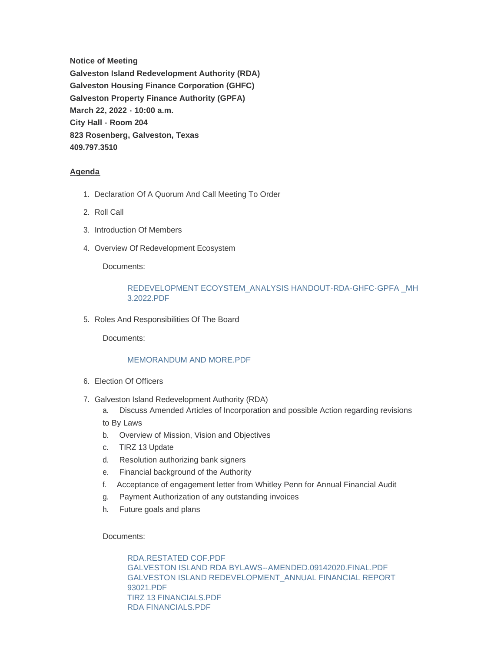**Notice of Meeting Galveston Island Redevelopment Authority (RDA) Galveston Housing Finance Corporation (GHFC) Galveston Property Finance Authority (GPFA) March 22, 2022 - 10:00 a.m. City Hall - Room 204 823 Rosenberg, Galveston, Texas 409.797.3510**

# **Agenda**

- 1. Declaration Of A Quorum And Call Meeting To Order
- 2. Roll Call
- 3. Introduction Of Members
- 4. Overview Of Redevelopment Ecosystem

Documents:

## [REDEVELOPMENT ECOYSTEM\\_ANALYSIS HANDOUT-RDA-GHFC-GPFA \\_MH](https://www.galvestontx.gov/AgendaCenter/ViewFile/Item/13914?fileID=32445)  3.2022.PDF

5. Roles And Responsibilities Of The Board

Documents:

### MEMORANDUM AND MORE PDF

- Election Of Officers 6.
- 7. Galveston Island Redevelopment Authority (RDA)
	- a. Discuss Amended Articles of Incorporation and possible Action regarding revisions
	- to By Laws
	- b. Overview of Mission, Vision and Objectives
	- c. TIRZ 13 Update
	- d. Resolution authorizing bank signers
	- e. Financial background of the Authority
	- f. Acceptance of engagement letter from Whitley Penn for Annual Financial Audit
	- g. Payment Authorization of any outstanding invoices
	- h. Future goals and plans

Documents:

[RDA.RESTATED COF.PDF](https://www.galvestontx.gov/AgendaCenter/ViewFile/Item/13916?fileID=32447) [GALVESTON ISLAND RDA BYLAWS--AMENDED.09142020.FINAL.PDF](https://www.galvestontx.gov/AgendaCenter/ViewFile/Item/13916?fileID=32448) [GALVESTON ISLAND REDEVELOPMENT\\_ANNUAL FINANCIAL REPORT](https://www.galvestontx.gov/AgendaCenter/ViewFile/Item/13916?fileID=32449)  93021.PDF [TIRZ 13 FINANCIALS.PDF](https://www.galvestontx.gov/AgendaCenter/ViewFile/Item/13916?fileID=32456) [RDA FINANCIALS.PDF](https://www.galvestontx.gov/AgendaCenter/ViewFile/Item/13916?fileID=32454)